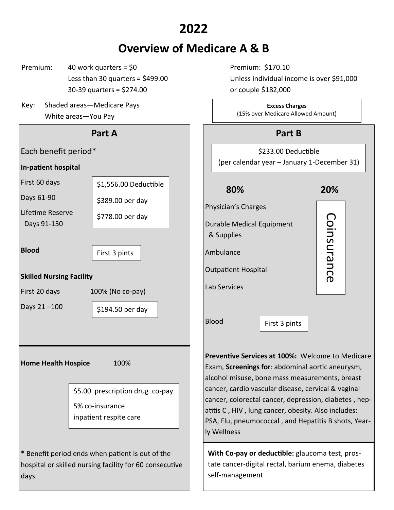# **2022**

# **Overview of Medicare A & B**

- $P$ remium: 40 work quarters = \$0 Premium: \$170.10 30-39 quarters = \$274.00 or couple \$182,000
- Key: Shaded areas—Medicare Pays White areas—You Pay



Less than 30 quarters = \$499.00 Unless individual income is over \$91,000

**Excess Charges** (15% over Medicare Allowed Amount)

## **Part B**

\$233.00 Deductible (per calendar year – January 1-December 31)

### **80% 20%**

Coinsurance Coinsurance

Physician's Charges Durable Medical Equipment

& Supplies

Ambulance

Outpatient Hospital

Lab Services

Blood

First 3 pints

**Preventive Services at 100%:** Welcome to Medicare Exam, **Screenings for**: abdominal aortic aneurysm, alcohol misuse, bone mass measurements, breast cancer, cardio vascular disease, cervical & vaginal cancer, colorectal cancer, depression, diabetes , hepatitis C , HIV , lung cancer, obesity. Also includes: PSA, Flu, pneumococcal , and Hepatitis B shots, Yearly Wellness

**With Co-pay or deductible:** glaucoma test, prostate cancer-digital rectal, barium enema, diabetes self-management